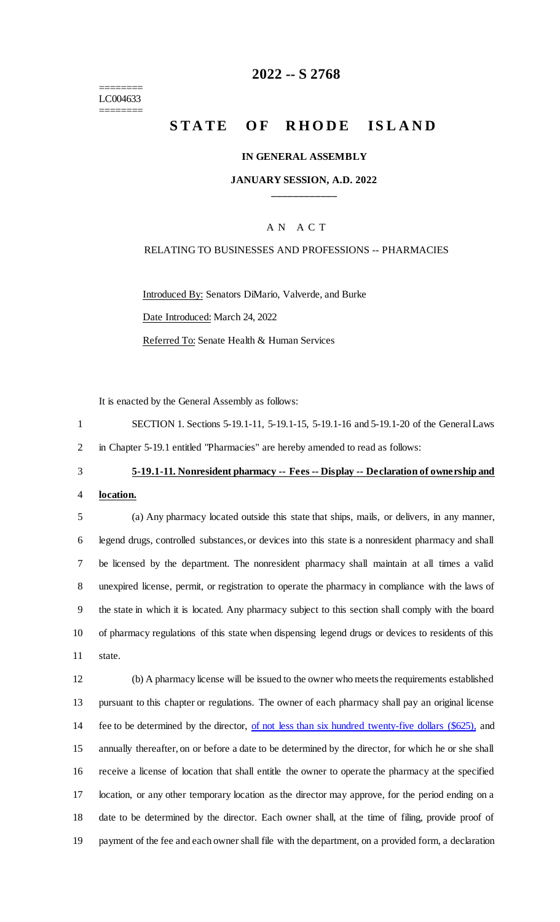======== LC004633 ========

## **2022 -- S 2768**

# **STATE OF RHODE ISLAND**

### **IN GENERAL ASSEMBLY**

## **JANUARY SESSION, A.D. 2022 \_\_\_\_\_\_\_\_\_\_\_\_**

## A N A C T

## RELATING TO BUSINESSES AND PROFESSIONS -- PHARMACIES

Introduced By: Senators DiMario, Valverde, and Burke Date Introduced: March 24, 2022 Referred To: Senate Health & Human Services

It is enacted by the General Assembly as follows:

|   | SECTION 1. Sections 5-19.1-11, 5-19.1-15, 5-19.1-16 and 5-19.1-20 of the General Laws |
|---|---------------------------------------------------------------------------------------|
| 2 | in Chapter 5-19.1 entitled "Pharmacies" are hereby amended to read as follows:        |

# 3 **5-19.1-11. Nonresident pharmacy -- Fees -- Display -- Declaration of ownership and**

4 **location.**

 (a) Any pharmacy located outside this state that ships, mails, or delivers, in any manner, legend drugs, controlled substances, or devices into this state is a nonresident pharmacy and shall be licensed by the department. The nonresident pharmacy shall maintain at all times a valid unexpired license, permit, or registration to operate the pharmacy in compliance with the laws of the state in which it is located. Any pharmacy subject to this section shall comply with the board of pharmacy regulations of this state when dispensing legend drugs or devices to residents of this 11 state.

 (b) A pharmacy license will be issued to the owner who meets the requirements established pursuant to this chapter or regulations. The owner of each pharmacy shall pay an original license 14 fee to be determined by the director, <u>of not less than six hundred twenty-five dollars (\$625)</u>, and annually thereafter, on or before a date to be determined by the director, for which he or she shall receive a license of location that shall entitle the owner to operate the pharmacy at the specified location, or any other temporary location as the director may approve, for the period ending on a date to be determined by the director. Each owner shall, at the time of filing, provide proof of payment of the fee and each owner shall file with the department, on a provided form, a declaration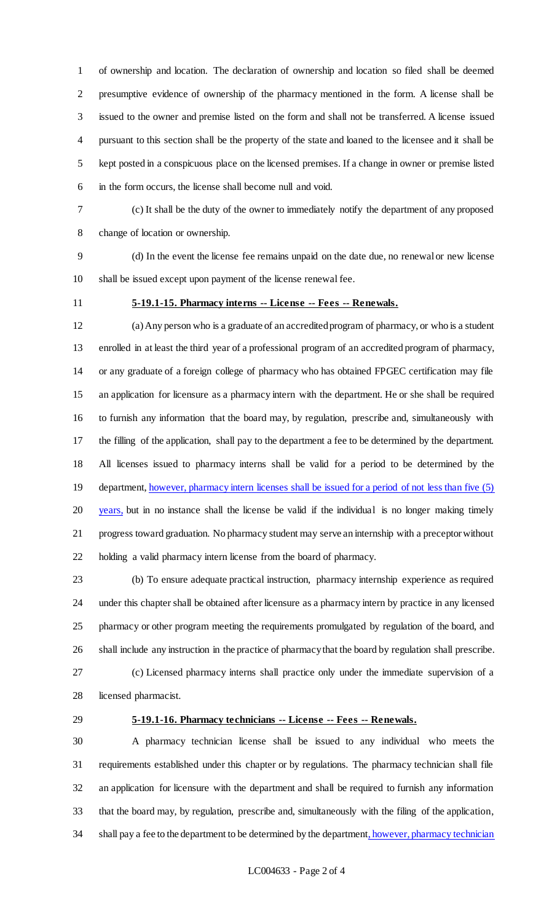of ownership and location. The declaration of ownership and location so filed shall be deemed presumptive evidence of ownership of the pharmacy mentioned in the form. A license shall be issued to the owner and premise listed on the form and shall not be transferred. A license issued pursuant to this section shall be the property of the state and loaned to the licensee and it shall be kept posted in a conspicuous place on the licensed premises. If a change in owner or premise listed in the form occurs, the license shall become null and void.

 (c) It shall be the duty of the owner to immediately notify the department of any proposed change of location or ownership.

 (d) In the event the license fee remains unpaid on the date due, no renewal or new license shall be issued except upon payment of the license renewal fee.

## **5-19.1-15. Pharmacy interns -- License -- Fees -- Renewals.**

 (a) Any person who is a graduate of an accredited program of pharmacy, or who is a student enrolled in at least the third year of a professional program of an accredited program of pharmacy, or any graduate of a foreign college of pharmacy who has obtained FPGEC certification may file an application for licensure as a pharmacy intern with the department. He or she shall be required to furnish any information that the board may, by regulation, prescribe and, simultaneously with the filling of the application, shall pay to the department a fee to be determined by the department. All licenses issued to pharmacy interns shall be valid for a period to be determined by the 19 department, however, pharmacy intern licenses shall be issued for a period of not less than five (5) 20 years, but in no instance shall the license be valid if the individual is no longer making timely progress toward graduation. No pharmacy student may serve an internship with a preceptor without holding a valid pharmacy intern license from the board of pharmacy.

 (b) To ensure adequate practical instruction, pharmacy internship experience as required under this chapter shall be obtained after licensure as a pharmacy intern by practice in any licensed pharmacy or other program meeting the requirements promulgated by regulation of the board, and shall include any instruction in the practice of pharmacy that the board by regulation shall prescribe. (c) Licensed pharmacy interns shall practice only under the immediate supervision of a

licensed pharmacist.

## **5-19.1-16. Pharmacy technicians -- License -- Fees -- Renewals.**

 A pharmacy technician license shall be issued to any individual who meets the requirements established under this chapter or by regulations. The pharmacy technician shall file an application for licensure with the department and shall be required to furnish any information that the board may, by regulation, prescribe and, simultaneously with the filing of the application, 34 shall pay a fee to the department to be determined by the department, however, pharmacy technician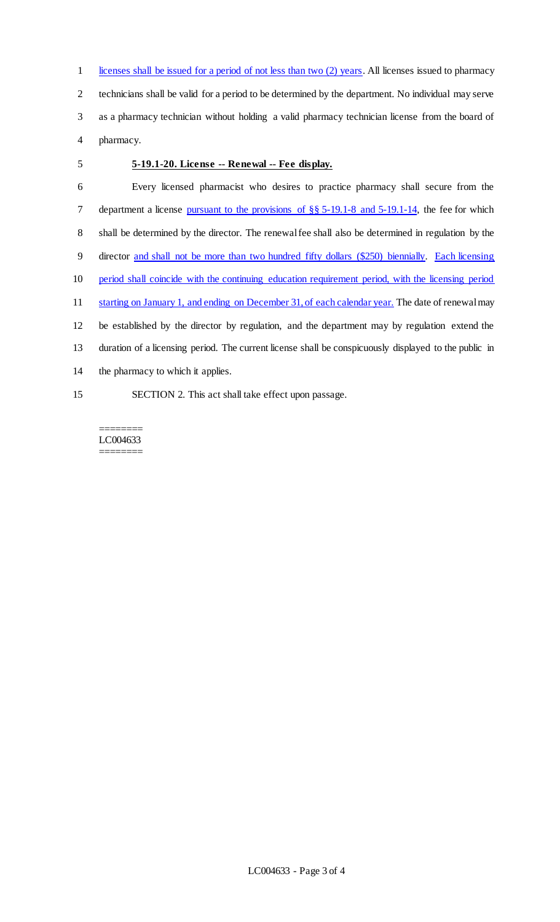1 licenses shall be issued for a period of not less than two (2) years. All licenses issued to pharmacy technicians shall be valid for a period to be determined by the department. No individual may serve as a pharmacy technician without holding a valid pharmacy technician license from the board of pharmacy.

## **5-19.1-20. License -- Renewal -- Fee display.**

 Every licensed pharmacist who desires to practice pharmacy shall secure from the 7 department a license pursuant to the provisions of  $\S$ § 5-19.1-8 and 5-19.1-14, the fee for which shall be determined by the director. The renewal fee shall also be determined in regulation by the director and shall not be more than two hundred fifty dollars (\$250) biennially. Each licensing period shall coincide with the continuing education requirement period, with the licensing period 11 starting on January 1, and ending on December 31, of each calendar year. The date of renewal may be established by the director by regulation, and the department may by regulation extend the duration of a licensing period. The current license shall be conspicuously displayed to the public in the pharmacy to which it applies. SECTION 2. This act shall take effect upon passage.

======== LC004633 ========